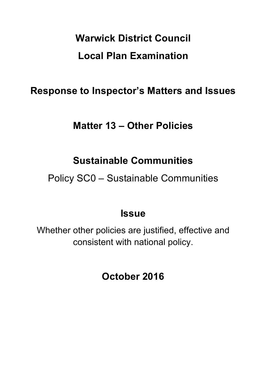# **Warwick District Council Local Plan Examination**

## **Response to Inspector's Matters and Issues**

### **Matter 13 – Other Policies**

### **Sustainable Communities**

Policy SC0 – Sustainable Communities

### **Issue**

Whether other policies are justified, effective and consistent with national policy.

**October 2016**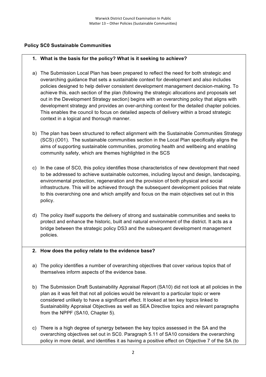#### **Policy SC0 Sustainable Communities**

#### **1. What is the basis for the policy? What is it seeking to achieve?**

- a) The Submission Local Plan has been prepared to reflect the need for both strategic and overarching guidance that sets a sustainable context for development and also includes policies designed to help deliver consistent development management decision-making. To achieve this, each section of the plan (following the strategic allocations and proposals set out in the Development Strategy section) begins with an overarching policy that aligns with development strategy and provides an over-arching context for the detailed chapter policies. This enables the council to focus on detailed aspects of delivery within a broad strategic context in a logical and thorough manner.
- b) The plan has been structured to reflect alignment with the Sustainable Communities Strategy (SCS) (O01). The sustainable communities section in the Local Plan specifically aligns the aims of supporting sustainable communities, promoting health and wellbeing and enabling community safety, which are themes highlighted in the SCS
- c) In the case of SC0, this policy identifies those characteristics of new development that need to be addressed to achieve sustainable outcomes, including layout and design, landscaping, environmental protection, regeneration and the provision of both physical and social infrastructure. This will be achieved through the subsequent development policies that relate to this overarching one and which amplify and focus on the main objectives set out in this policy.
- d) The policy itself supports the delivery of strong and sustainable communities and seeks to protect and enhance the historic, built and natural environment of the district. It acts as a bridge between the strategic policy DS3 and the subsequent development management policies.

#### **2. How does the policy relate to the evidence base?**

- a) The policy identifies a number of overarching objectives that cover various topics that of themselves inform aspects of the evidence base.
- b) The Submission Draft Sustainability Appraisal Report (SA10) did not look at all policies in the plan as it was felt that not all policies would be relevant to a particular topic or were considered unlikely to have a significant effect. It looked at ten key topics linked to Sustainability Appraisal Objectives as well as SEA Directive topics and relevant paragraphs from the NPPF (SA10, Chapter 5).
- c) There is a high degree of synergy between the key topics assessed in the SA and the overarching objectives set out in SC0. Paragraph 5.11 of SA10 considers the overarching policy in more detail, and identifies it as having a positive effect on Objective 7 of the SA (to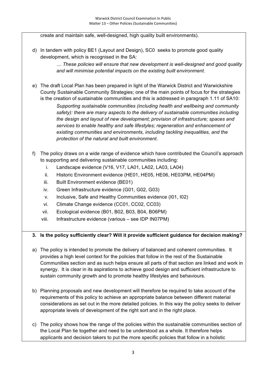create and maintain safe, well-designed, high quality built environments).

d) In tandem with policy BE1 (Layout and Design), SC0 seeks to promote good quality development, which is recognised in the SA:

> *… These policies will ensure that new development is well-designed and good quality and will minimise potential impacts on the existing built environment.*

e) The draft Local Plan has been prepared in light of the Warwick District and Warwickshire County Sustainable Community Strategies; one of the main points of focus for the strategies is the creation of sustainable communities and this is addressed in paragraph 1.11 of SA10:

*Supporting sustainable communities (including health and wellbeing and community safety): there are many aspects to the delivery of sustainable communities including the design and layout of new development; provision of infrastructure; spaces and services to enable healthy and safe lifestyles; regeneration and enhancement of existing communities and environments, including tackling inequalities, and the protection of the natural and built environment.*

- f) The policy draws on a wide range of evidence which have contributed the Council's approach to supporting and delivering sustainable communities including:
	- i. Landscape evidence (V16, V17, LA01, LA02, LA03, LA04)
	- ii. Historic Environment evidence (HE01, HE05, HE06, HE03PM, HE04PM)
	- iii. Built Environment evidence (BE01)
	- iv. Green Infrastructure evidence (G01, G02, G03)
	- v. Inclusive, Safe and Healthy Communities evidence (I01, I02)
	- vi. Climate Change evidence (CC01, CC02, CC03)
	- vii. Ecological evidence (B01, B02, B03, B04, B06PM)
	- viii. Infrastructure evidence (various see IDP IN07PM)

#### **3. Is the policy sufficiently clear? Will it provide sufficient guidance for decision making?**

- a) The policy is intended to promote the delivery of balanced and coherent communities. It provides a high level context for the policies that follow in the rest of the Sustainable Communities section and as such helps ensure all parts of that section are linked and work in synergy. It is clear in its aspirations to achieve good design and sufficient infrastructure to sustain community growth and to promote healthy lifestyles and behaviours.
- b) Planning proposals and new development will therefore be required to take account of the requirements of this policy to achieve an appropriate balance between different material considerations as set out in the more detailed policies. In this way the policy seeks to deliver appropriate levels of development of the right sort and in the right place.
- c) The policy shows how the range of the policies within the sustainable communities section of the Local Plan tie together and need to be understood as a whole. It therefore helps applicants and decision takers to put the more specific policies that follow in a holistic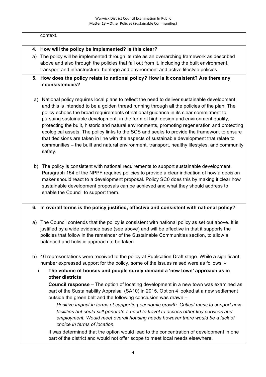#### context.

#### **4. How will the policy be implemented? Is this clear?**

- a) The policy will be implemented through its role as an overarching framework as described above and also through the policies that fall out from it, including the built environment, transport and infrastructure, heritage and environment and active lifestyle policies.
- **5. How does the policy relate to national policy? How is it consistent? Are there any inconsistencies?**
- a) National policy requires local plans to reflect the need to deliver sustainable development and this is intended to be a golden thread running through all the policies of the plan. The policy echoes the broad requirements of national guidance in its clear commitment to pursuing sustainable development, in the form of high design and environment quality, protecting the built, historic and natural environments, promoting regeneration and protecting ecological assets. The policy links to the SCS and seeks to provide the framework to ensure that decisions are taken in line with the aspects of sustainable development that relate to communities – the built and natural environment, transport, healthy lifestyles, and community safety.
- b) The policy is consistent with national requirements to support sustainable development. Paragraph 154 of the NPPF requires policies to provide a clear indication of how a decision maker should react to a development proposal. Policy SC0 does this by making it clear how sustainable development proposals can be achieved and what they should address to enable the Council to support them.

#### **6. In overall terms is the policy justified, effective and consistent with national policy?**

- a) The Council contends that the policy is consistent with national policy as set out above. It is justified by a wide evidence base (see above) and will be effective in that it supports the policies that follow in the remainder of the Sustainable Communities section, to allow a balanced and holistic approach to be taken.
- b) 16 representations were received to the policy at Publication Draft stage. While a significant number expressed support for the policy, some of the issues raised were as follows:
	- i. **The volume of houses and people surely demand a 'new town' approach as in other districts**

**Council response** – The option of locating development in a new town was examined as part of the Sustainability Appraisal (SA10) in 2015. Option 4 looked at a new settlement outside the green belt and the following conclusion was drawn –

*Positive impact in terms of supporting economic growth. Critical mass to support new*  facilities but could still generate a need to travel to access other key services and *employment. Would meet overall housing needs however there would be a lack of choice in terms of location.*

It was determined that the option would lead to the concentration of development in one part of the district and would not offer scope to meet local needs elsewhere.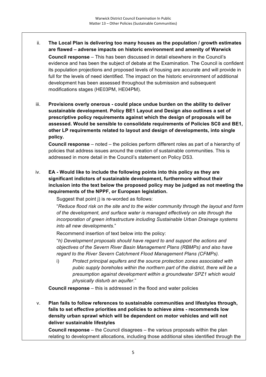- ii. **The Local Plan is delivering too many houses as the population / growth estimates are flawed – adverse impacts on historic environment and amenity of Warwick Council response** – This has been discussed in detail elsewhere in the Council's evidence and has been the subject of debate at the Examination. The Council is confident its population projections and proposed levels of housing are accurate and will provide in full for the levels of need identified. The impact on the historic environment of additional development has been assessed throughout the submission and subsequent modifications stages (HE03PM, HE04PM).
- iii. **Provisions overly onerous - could place undue burden on the ability to deliver sustainable development. Policy BE1 Layout and Design also outlines a set of prescriptive policy requirements against which the design of proposals will be assessed. Would be sensible to consolidate requirements of Policies SC0 and BE1, other LP requirements related to layout and design of developments, into single policy.**

**Council response** – noted – the policies perform different roles as part of a hierarchy of policies that address issues around the creation of sustainable communities. This is addressed in more detail in the Council's statement on Policy DS3.

iv. **EA - Would like to include the following points into this policy as they are significant indictors of sustainable development, furthermore without their inclusion into the text below the proposed policy may be judged as not meeting the requirements of the NPPF, or European legislation.**

Suggest that point j) is re-worded as follows:

"*Reduce flood risk on the site and to the wider community through the layout and form of the development, and surface water is managed effectively on site through the incorporation of green infrastructure including Sustainable Urban Drainage systems into all new developments*."

Recommend insertion of text below into the policy:

"*h) Development proposals should have regard to and support the actions and objectives of the Severn River Basin Management Plans (RBMPs) and also have regard to the River Severn Catchment Flood Management Plans (CFMPs).*

i) *Protect principal aquifers and the source protection zones associated with pubic supply boreholes within the northern part of the district, there will be a presumption against development within a groundwater SPZ1 which would physically disturb an aquifer*."

**Council response** – this is addressed in the flood and water policies

v. **Plan fails to follow references to sustainable communities and lifestyles through, fails to set effective priorities and policies to achieve aims - recommends low density urban sprawl which will be dependent on motor vehicles and will not deliver sustainable lifestyles**

**Council response** – the Council disagrees – the various proposals within the plan relating to development allocations, including those additional sites identified through the